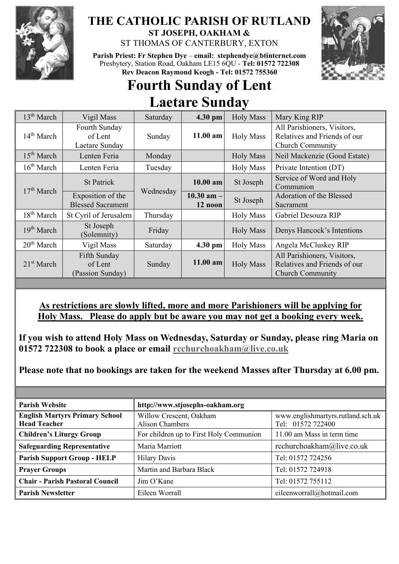

## **THE CATHOLIC PARISH OF RUTLAND ST JOSEPH, OAKHAM &**

ST THOMAS OF CANTERBURY, EXTON

**Parish Priest: Fr Stephen Dye** – **[email: stephendye@btinternet.com](mailto:email:%20%20stephendye@btinternet.com)** Presbytery, Station Road, Oakham LE15 6QU - **Tel: 01572 722308 Rev Deacon Raymond Keogh - Tel: 01572 755360**



## **Fourth Sunday of Lent Laetare Sunday**

| 13 <sup>th</sup> March | Vigil Mass                                    | Saturday  | 4.30 pm                   | <b>Holy Mass</b> | Mary King RIP                                                                          |
|------------------------|-----------------------------------------------|-----------|---------------------------|------------------|----------------------------------------------------------------------------------------|
| 14 <sup>th</sup> March | Fourth Sunday<br>of Lent<br>Laetare Sunday    | Sunday    | $11.00$ am                | <b>Holy Mass</b> | All Parishioners, Visitors,<br>Relatives and Friends of our<br><b>Church Community</b> |
| 15 <sup>th</sup> March | Lenten Feria                                  | Monday    |                           | <b>Holy Mass</b> | Neil Mackenzie (Good Estate)                                                           |
| 16 <sup>th</sup> March | Lenten Feria                                  | Tuesday   |                           | <b>Holy Mass</b> | Private Intention (DT)                                                                 |
| 17 <sup>th</sup> March | <b>St Patrick</b>                             | Wednesday | $10.00$ am                | St Joseph        | Service of Word and Holy<br>Communion                                                  |
|                        | Exposition of the<br><b>Blessed Sacrament</b> |           | $10.30$ am $-$<br>12 noon | St Joseph        | Adoration of the Blessed<br>Sacrament                                                  |
| 18 <sup>th</sup> March | St Cyril of Jerusalem                         | Thursday  |                           | <b>Holy Mass</b> | Gabriel Desouza RIP                                                                    |
| 19 <sup>th</sup> March | St Joseph<br>(Solemnity)                      | Friday    |                           | <b>Holy Mass</b> | Denys Hancock's Intentions                                                             |
| 20 <sup>th</sup> March | Vigil Mass                                    | Saturday  | 4.30 pm                   | <b>Holy Mass</b> | Angela McCluskey RIP                                                                   |
| 21 <sup>st</sup> March | Fifth Sunday<br>of Lent<br>(Passion Sunday)   | Sunday    | 11.00 am                  | <b>Holy Mass</b> | All Parishioners, Visitors,<br>Relatives and Friends of our<br><b>Church Community</b> |

## **As restrictions are slowly lifted, more and more Parishioners will be applying for Holy Mass. Please do apply but be aware you may not get a booking every week.**

**If you wish to attend Holy Mass on Wednesday, Saturday or Sunday, please ring Maria on 01572 722308 to book a place or email [rcchurchoakham@live.co.uk](mailto:rcchurchoakham@live.co.uk)**

**Please note that no bookings are taken for the weekend Masses after Thursday at 6.00 pm.**

| <b>Parish Website</b>                                        | http://www.stjosephs-oakham.org                   |                                                        |  |
|--------------------------------------------------------------|---------------------------------------------------|--------------------------------------------------------|--|
| <b>English Martyrs Primary School</b><br><b>Head Teacher</b> | Willow Crescent, Oakham<br><b>Alison Chambers</b> | www.englishmartyrs.rutland.sch.uk<br>Tel: 01572 722400 |  |
| <b>Children's Liturgy Group</b>                              | For children up to First Holy Communion           | 11.00 am Mass in term time                             |  |
| <b>Safeguarding Representative</b>                           | Maria Marriott                                    | rcchurchoakham@live.co.uk                              |  |
| <b>Parish Support Group - HELP</b>                           | <b>Hilary Davis</b>                               | Tel: 01572 724256                                      |  |
| <b>Prayer Groups</b>                                         | Martin and Barbara Black                          | Tel: 01572 724918                                      |  |
| <b>Chair - Parish Pastoral Council</b>                       | Jim O'Kane                                        | Tel: 01572 755112                                      |  |
| <b>Parish Newsletter</b>                                     | Eileen Worrall                                    | eileenworrall@hotmail.com                              |  |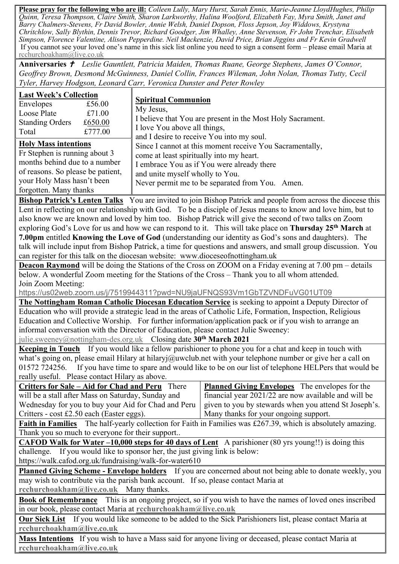**Please pray for the following who are ill:** *Colleen Lully, Mary Hurst, Sarah Ennis, Marie-Jeanne LloydHughes, Philip Quinn, Teresa Thompson, Claire Smith, Sharon Larkworthy, Halina Woolford, Elizabeth Fay, Myra Smith, Janet and Barry Chalmers-Stevens, Fr David Bowler, Annie Welsh, Daniel Dopson, Floss Jepson, Joy Widdows, Krystyna Chritchlow, Sally Blythin, Dennis Trevor, Richard Goodger, Jim Whalley, Anne Stevenson, Fr John Trenchar, Elisabeth Simpson, Florence Valentine, Alison Pepperdine. Neil Mackenzie, David Price, Brian Jiggins and Fr Kevin Gradwell*  If you cannot see your loved one's name in this sick list online you need to sign a consent form – please email Maria at [rcchurchoakham@live.co.uk](mailto:rcchurchoakham@live.co.uk)

**Anniversaries**  *Leslie Gauntlett, Patricia Maiden, Thomas Ruane, George Stephens, James O'Connor, Geoffrey Brown, Desmond McGuinness, Daniel Collin, Frances Wileman, John Nolan, Thomas Tutty, Cecil Tyler, Harvey Hodgson, Leonard Carr, Veronica Dunster and Peter Rowley*

| <b>Last Week's Collection</b>                                                                                              |         |                                                                                                       |  |  |  |
|----------------------------------------------------------------------------------------------------------------------------|---------|-------------------------------------------------------------------------------------------------------|--|--|--|
| Envelopes                                                                                                                  | £56.00  | <b>Spiritual Communion</b><br>My Jesus,<br>I believe that You are present in the Most Holy Sacrament. |  |  |  |
| Loose Plate                                                                                                                | £71.00  |                                                                                                       |  |  |  |
| <b>Standing Orders</b>                                                                                                     | £650.00 |                                                                                                       |  |  |  |
| Total                                                                                                                      | £777.00 | I love You above all things,                                                                          |  |  |  |
|                                                                                                                            |         | and I desire to receive You into my soul.                                                             |  |  |  |
| <b>Holy Mass intentions</b>                                                                                                |         | Since I cannot at this moment receive You Sacramentally,                                              |  |  |  |
| Fr Stephen is running about 3                                                                                              |         | come at least spiritually into my heart.                                                              |  |  |  |
| months behind due to a number                                                                                              |         | I embrace You as if You were already there                                                            |  |  |  |
| of reasons. So please be patient,                                                                                          |         | and unite myself wholly to You.                                                                       |  |  |  |
| your Holy Mass hasn't been                                                                                                 |         | Never permit me to be separated from You. Amen.                                                       |  |  |  |
| forgotten. Many thanks                                                                                                     |         |                                                                                                       |  |  |  |
| <b>Bishop Patrick's Lenten Talks</b> You are invited to join Bishop Patrick and people from across the diocese this        |         |                                                                                                       |  |  |  |
| Lent in reflecting on our relationship with God. To be a disciple of Jesus means to know and love him, but to              |         |                                                                                                       |  |  |  |
| also know we are known and loved by him too. Bishop Patrick will give the second of two talks on Zoom                      |         |                                                                                                       |  |  |  |
| exploring God's Love for us and how we can respond to it. This will take place on <b>Thursday 25<sup>th</sup> March</b> at |         |                                                                                                       |  |  |  |
| <b>7.00pm</b> entitled <b>Knowing the Love of God</b> (understanding our identity as God's sons and daughters). The        |         |                                                                                                       |  |  |  |
| talk will include input from Bishop Patrick, a time for questions and answers, and small group discussion. You             |         |                                                                                                       |  |  |  |

can register for this talk on the diocesan website: www.dioceseofnottingham.uk

**Deacon Raymond** will be doing the Stations of the Cross on ZOOM on a Friday evening at 7.00 pm – details below. A wonderful Zoom meeting for the Stations of the Cross – Thank you to all whom attended. Join Zoom Meeting:

<https://us02web.zoom.us/j/7519944311?pwd=NU9jaUFNQS93Vm1GbTZVNDFuVG01UT09>

**The Nottingham Roman Catholic Diocesan Education Service** is seeking to appoint a Deputy Director of Education who will provide a strategic lead in the areas of Catholic Life, Formation, Inspection, Religious Education and Collective Worship. For further information/application pack or if you wish to arrange an informal conversation with the Director of Education, please contact Julie Sweeney:

[julie.sweeney@nottingham-des.org.uk](mailto:julie.sweeney@nottingham-des.org.uk) Closing date **30 th March 2021**

**Keeping in Touch** If you would like a fellow parishioner to phone you for a chat and keep in touch with what's going on, please email Hilary at hilaryj@uwclub.net with your telephone number or give her a call on 01572 724256. If you have time to spare and would like to be on our list of telephone HELPers that would be really useful. Please contact Hilary as above.

| Critters for Sale – Aid for Chad and Peru There                                                                     | <b>Planned Giving Envelopes</b> The envelopes for the |  |  |  |  |
|---------------------------------------------------------------------------------------------------------------------|-------------------------------------------------------|--|--|--|--|
| will be a stall after Mass on Saturday, Sunday and                                                                  | financial year 2021/22 are now available and will be  |  |  |  |  |
| Wednesday for you to buy your Aid for Chad and Peru                                                                 | given to you by stewards when you attend St Joseph's. |  |  |  |  |
| Critters - $cost \pounds2.50$ each (Easter eggs).                                                                   | Many thanks for your ongoing support.                 |  |  |  |  |
| <b>Faith in Families</b> The half-yearly collection for Faith in Families was £267.39, which is absolutely amazing. |                                                       |  |  |  |  |
| Thank you so much to everyone for their support                                                                     |                                                       |  |  |  |  |
| <b>CAFOD Walk for Water -10,000 steps for 40 days of Lent</b> A parishioner (80 yrs young!!) is doing this          |                                                       |  |  |  |  |
| challenge. If you would like to sponsor her, the just giving link is below:                                         |                                                       |  |  |  |  |
| https://walk.cafod.org.uk/fundraising/walk-for-water610                                                             |                                                       |  |  |  |  |
| <b>Planned Giving Scheme - Envelope holders</b> If you are concerned about not being able to donate weekly, you     |                                                       |  |  |  |  |
|                                                                                                                     |                                                       |  |  |  |  |

may wish to contribute via the parish bank account. If so, please contact Maria at **[rcchurchoakham@live.co.uk](mailto:rcchurchoakham@live.co.uk)** Many thanks.

**Book of Remembrance** This is an ongoing project, so if you wish to have the names of loved ones inscribed in our book, please contact Maria at **[rcchurchoakham@live.co.uk](mailto:rcchurchoakham@live.co.uk)**

**Our Sick List** If you would like someone to be added to the Sick Parishioners list, please contact Maria at **[rcchurchoakham@live.co.uk](mailto:rcchurchoakham@live.co.uk)**

**Mass Intentions** If you wish to have a Mass said for anyone living or deceased, please contact Maria at **[rcchurchoakham@live.co.uk](mailto:rcchurchoakham@live.co.uk)**